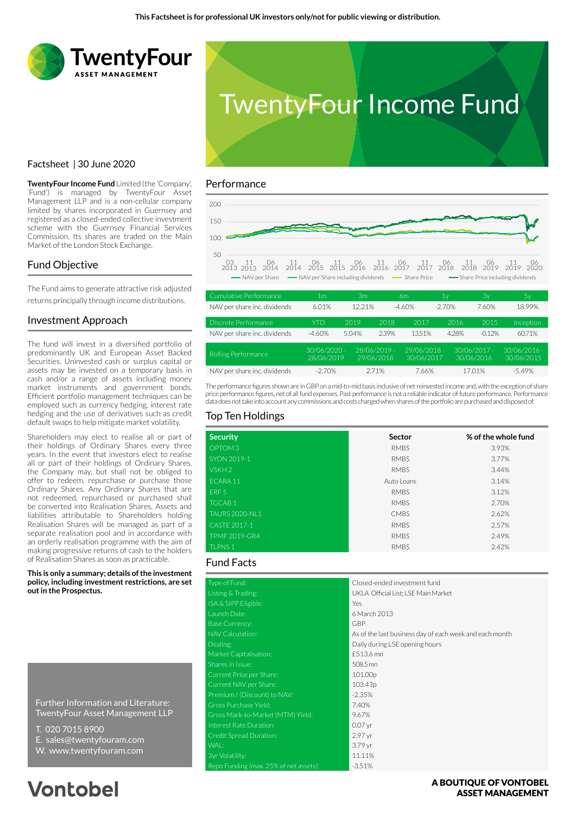



## Factsheet | 30 June 2020

**TwentyFour Income Fund** Limited (the 'Company', 'Fund') is managed by TwentyFour Asset Management LLP and is a non-cellular company limited by shares incorporated in Guernsey and registered as a closed-ended collective investment scheme with the Guernsey Financial Services Commission. Its shares are traded on the Main Market of the London Stock Exchange.

## Fund Objective

The Fund aims to generate attractive risk adjusted returns principally through income distributions.

## Investment Approach

The fund will invest in a diversified portfolio of predominantly UK and European Asset Backed Securities. Uninvested cash or surplus capital or assets may be invested on a temporary basis in cash and/or a range of assets including money market instruments and government bonds. Efficient portfolio management techniques can be employed such as currency hedging, interest rate hedging and the use of derivatives such as credit default swaps to help mitigate market volatility.

Shareholders may elect to realise all or part of their holdings of Ordinary Shares every three years. In the event that investors elect to realise all or part of their holdings of Ordinary Shares, the Company may, but shall not be obliged to offer to redeem, repurchase or purchase those Ordinary Shares. Any Ordinary Shares that are not redeemed, repurchased or purchased shall be converted into Realisation Shares. Assets and liabilities attributable to Shareholders holding Realisation Shares will be managed as part of a separate realisation pool and in accordance with an orderly realisation programme with the aim of making progressive returns of cash to the holders of Realisation Shares as soon as practicable.

**This is only a summary; details of the investment policy, including investment restrictions, are set out in the Prospectus.**

Further Information and Literature: TwentyFour Asset Management LLP

- T. 020 7015 8900
- E. sales@twentyfouram.com
- W. www.twentyfouram.com

# **Vontobel**

#### Performance



| Cumulative Performance       | 1m                         | Зm                           |       | 6m                           | 1٧       | Зv                         | 5y                           |
|------------------------------|----------------------------|------------------------------|-------|------------------------------|----------|----------------------------|------------------------------|
| NAV per share inc. dividends | 6.01%                      | 12.21%                       |       | $-4.60%$                     | $-2.70%$ | 7.60%                      | 18.99%                       |
| Discrete Performance         | <b>YTD</b>                 | 2019                         | 2018  | 2017                         | 2016     | 2015                       | Inception                    |
| NAV per share inc. dividends | $-4.60%$                   | 5.04%                        | 2.39% | 13.51%                       | 4.28%    | $-0.12%$                   | 60.71%                       |
| Rolling Performance          | 30/06/2020 -<br>28/06/2019 | $28/06/2019 -$<br>29/06/2018 |       | $29/06/2018 -$<br>30/06/2017 |          | 30/06/2017 -<br>30/06/2016 | $30/06/2016 -$<br>30/06/2015 |
| NAV per share inc. dividends | $-2.70%$                   |                              | 2.71% | 7.66%                        |          | 1701%                      | $-5.49%$                     |

The performance figures shown are in GBP on a mid-to-mid basis inclusive of net reinvested income and, with the exception of share price performance figures, net of all fund expenses. Past performance is not a reliable indicator of future performance. Performance data does not take into account any commissions and costs charged when shares of the portfolio are purchased and disposed of.

## Top Ten Holdings

| <b>Security</b>       | Sector      | % of the whole fund |
|-----------------------|-------------|---------------------|
| OPTOM <sub>3</sub>    | <b>RMBS</b> | 3.93%               |
| SYON 2019-1           | <b>RMBS</b> | 3.77%               |
| VSKH <sub>2</sub>     | <b>RMBS</b> | 3.44%               |
| ECARA 11              | Auto Loans  | 3.14%               |
| ERF <sub>5</sub>      | <b>RMBS</b> | 3.12%               |
| <b>TGCAB1</b>         | <b>RMBS</b> | 2.70%               |
| <b>TAURS 2020-NL1</b> | <b>CMBS</b> | 2.62%               |
| CASTF 2017-1          | <b>RMBS</b> | 2.57%               |
| <b>TPMF 2019-GR4</b>  | <b>RMBS</b> | 2.49%               |
| <b>TLPNS1</b>         | <b>RMBS</b> | 2.42%               |

### Fund Facts

|                                        | Closed-ended investment fund                            |
|----------------------------------------|---------------------------------------------------------|
| Type of Fund:                          |                                                         |
| Listing & Trading:                     | UKLA Official List; LSE Main Market                     |
| ISA & SIPP Eligible:                   | Yes                                                     |
| Launch Date:                           | 6 March 2013                                            |
| <b>Base Currency:</b>                  | <b>GBP</b>                                              |
| NAV Calculation:                       | As of the last business day of each week and each month |
| Dealing:                               | Daily during LSE opening hours                          |
| Market Capitalisation:                 | £513.6 mn                                               |
| Shares in Issue:                       | 508.5 mn                                                |
| Current Price per Share:               | 101.00p                                                 |
| Current NAV per Share:                 | 103.43p                                                 |
| Premium / (Discount) to NAV:           | $-2.35%$                                                |
| Gross Purchase Yield:                  | 7.40%                                                   |
| Gross Mark-to-Market (MTM) Yield:      | 9.67%                                                   |
| Interest Rate Duration:                | $0.07$ yr                                               |
| Credit Spread Duration:                | 2.97 yr                                                 |
| WAL:                                   | 3.79 yr                                                 |
| 3yr Volatility:                        | 11.11%                                                  |
| Repo Funding (max. 25% of net assets): | $-3.51%$                                                |

### A BOUTIOUE OF VONTOBEL **ASSET MANAGEMENT**